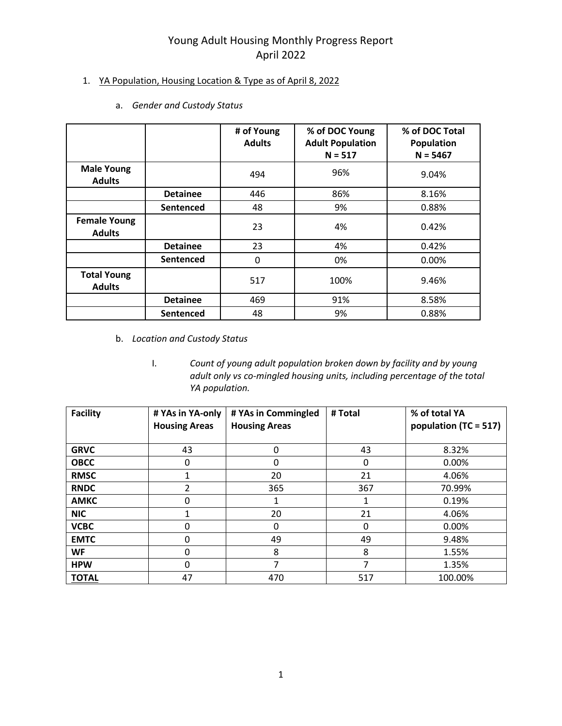### 1. YA Population, Housing Location & Type as of April 8, 2022

- **# of Young Adults % of DOC Young Adult Population N = 517 % of DOC Total Population N = 5467 Male Young Adults** <sup>494</sup> 96% 9.04% **Detainee** | 446 | 86% | 8.16% **Sentenced** 48 48 9% | 0.88% **Female Young Adults** <sup>23</sup> 4% 0.42% **Detainee** 23 4% 0.42% **Sentenced** 0 0 0% 0.00% **Total Young Adults** <sup>517</sup> 100% 9.46% **Detainee** 469 91% 8.58% **Sentenced** 48 9% | 0.88%
- a. *Gender and Custody Status*

- b. *Location and Custody Status*
	- I. *Count of young adult population broken down by facility and by young adult only vs co-mingled housing units, including percentage of the total YA population.*

| <b>Facility</b> | # YAs in YA-only<br><b>Housing Areas</b> | # YAs in Commingled<br><b>Housing Areas</b> | # Total  | % of total YA<br>population (TC = 517) |
|-----------------|------------------------------------------|---------------------------------------------|----------|----------------------------------------|
| <b>GRVC</b>     | 43                                       | 0                                           | 43       | 8.32%                                  |
| <b>OBCC</b>     | 0                                        | 0                                           | 0        | 0.00%                                  |
| <b>RMSC</b>     | 1                                        | 20                                          | 21       | 4.06%                                  |
| <b>RNDC</b>     | $\mathfrak{p}$                           | 365                                         | 367      | 70.99%                                 |
| <b>AMKC</b>     | 0                                        |                                             |          | 0.19%                                  |
| <b>NIC</b>      | 1                                        | 20                                          | 21       | 4.06%                                  |
| <b>VCBC</b>     | 0                                        | 0                                           | $\Omega$ | 0.00%                                  |
| <b>EMTC</b>     | 0                                        | 49                                          | 49       | 9.48%                                  |
| WF              | 0                                        | 8                                           | 8        | 1.55%                                  |
| <b>HPW</b>      | 0                                        | 7                                           | 7        | 1.35%                                  |
| <b>TOTAL</b>    | 47                                       | 470                                         | 517      | 100.00%                                |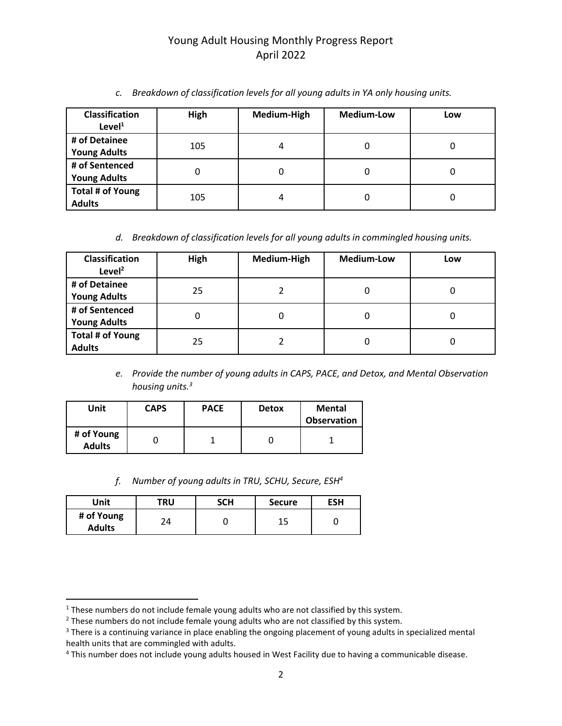| <b>Classification</b><br>Level <sup>1</sup> | High | Medium-High | <b>Medium-Low</b> | Low |
|---------------------------------------------|------|-------------|-------------------|-----|
| # of Detainee<br><b>Young Adults</b>        | 105  | 4           | 0                 |     |
| # of Sentenced<br><b>Young Adults</b>       |      | 0           | 0                 |     |
| Total # of Young<br><b>Adults</b>           | 105  | 4           | 0                 |     |

*c. Breakdown of classification levels for all young adults in YA only housing units.*

*d. Breakdown of classification levels for all young adults in commingled housing units.*

| <b>Classification</b><br>Level <sup>2</sup> | High | Medium-High | <b>Medium-Low</b> | Low |
|---------------------------------------------|------|-------------|-------------------|-----|
| # of Detainee<br><b>Young Adults</b>        | 25   |             |                   |     |
| # of Sentenced<br><b>Young Adults</b>       |      | O           | 0                 |     |
| <b>Total # of Young</b><br><b>Adults</b>    | 25   |             | 0                 | Ü   |

*e. Provide the number of young adults in CAPS, PACE, and Detox, and Mental Observation housing units.<sup>3</sup>*

| Unit                        | <b>CAPS</b> | <b>PACE</b> | <b>Detox</b> | <b>Mental</b><br><b>Observation</b> |
|-----------------------------|-------------|-------------|--------------|-------------------------------------|
| # of Young<br><b>Adults</b> |             |             |              |                                     |

*f. Number of young adults in TRU, SCHU, Secure, ESH<sup>4</sup>*

| Unit                        | TRU | <b>SCH</b> | <b>Secure</b> | ESH |
|-----------------------------|-----|------------|---------------|-----|
| # of Young<br><b>Adults</b> |     |            |               |     |

<sup>&</sup>lt;sup>1</sup> These numbers do not include female young adults who are not classified by this system.

 $2$  These numbers do not include female young adults who are not classified by this system.

<sup>&</sup>lt;sup>3</sup> There is a continuing variance in place enabling the ongoing placement of young adults in specialized mental health units that are commingled with adults.

<sup>&</sup>lt;sup>4</sup> This number does not include young adults housed in West Facility due to having a communicable disease.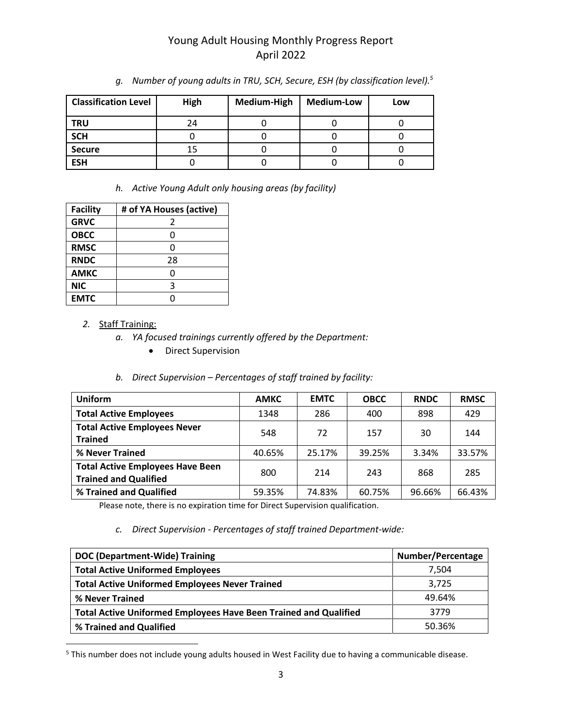| <b>Classification Level</b> | High | Medium-High | <b>Medium-Low</b> | Low |
|-----------------------------|------|-------------|-------------------|-----|
| <b>TRU</b>                  | 24   |             |                   |     |
| <b>SCH</b>                  |      |             |                   |     |
| <b>Secure</b>               | 15   |             |                   |     |
| <b>ESH</b>                  |      |             |                   |     |

*g. Number of young adults in TRU, SCH, Secure, ESH (by classification level).<sup>5</sup>*

*h. Active Young Adult only housing areas (by facility)*

| <b>Facility</b> | # of YA Houses (active) |
|-----------------|-------------------------|
| <b>GRVC</b>     | 2                       |
| <b>OBCC</b>     | 0                       |
| <b>RMSC</b>     | ი                       |
| <b>RNDC</b>     | 28                      |
| <b>AMKC</b>     | ი                       |
| <b>NIC</b>      | 3                       |
| <b>EMTC</b>     |                         |

#### *2.* Staff Training:

- *a. YA focused trainings currently offered by the Department:*
	- Direct Supervision

#### *b. Direct Supervision – Percentages of staff trained by facility:*

| <b>Uniform</b>                                                          | <b>AMKC</b> | <b>EMTC</b> | <b>OBCC</b> | <b>RNDC</b> | <b>RMSC</b> |
|-------------------------------------------------------------------------|-------------|-------------|-------------|-------------|-------------|
| <b>Total Active Employees</b>                                           | 1348        | 286         | 400         | 898         | 429         |
| <b>Total Active Employees Never</b><br><b>Trained</b>                   | 548         | 72          | 157         | 30          | 144         |
| % Never Trained                                                         | 40.65%      | 25.17%      | 39.25%      | 3.34%       | 33.57%      |
| <b>Total Active Employees Have Been</b><br><b>Trained and Qualified</b> | 800         | 214         | 243         | 868         | 285         |
| % Trained and Qualified                                                 | 59.35%      | 74.83%      | 60.75%      | 96.66%      | 66.43%      |

Please note, there is no expiration time for Direct Supervision qualification.

#### *c. Direct Supervision - Percentages of staff trained Department-wide:*

| <b>DOC (Department-Wide) Training</b>                                   | Number/Percentage |
|-------------------------------------------------------------------------|-------------------|
| <b>Total Active Uniformed Employees</b>                                 | 7.504             |
| <b>Total Active Uniformed Employees Never Trained</b>                   | 3,725             |
| % Never Trained                                                         | 49.64%            |
| <b>Total Active Uniformed Employees Have Been Trained and Qualified</b> | 3779              |
| % Trained and Qualified                                                 | 50.36%            |

<sup>5</sup> This number does not include young adults housed in West Facility due to having a communicable disease.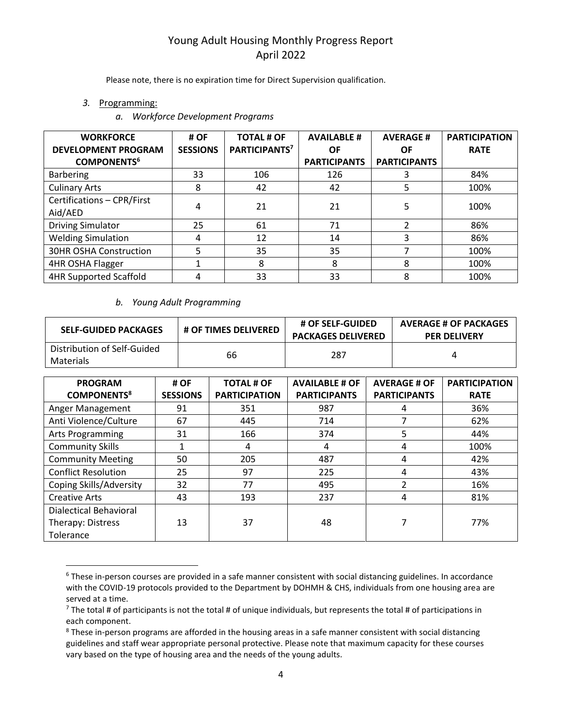Please note, there is no expiration time for Direct Supervision qualification.

- *3.* Programming:
	- *a. Workforce Development Programs*

| <b>WORKFORCE</b>              | # OF            | <b>TOTAL # OF</b>         | <b>AVAILABLE #</b>  | <b>AVERAGE#</b>     | <b>PARTICIPATION</b> |
|-------------------------------|-----------------|---------------------------|---------------------|---------------------|----------------------|
| <b>DEVELOPMENT PROGRAM</b>    | <b>SESSIONS</b> | PARTICIPANTS <sup>7</sup> | OF                  | ΟF                  | <b>RATE</b>          |
| <b>COMPONENTS<sup>6</sup></b> |                 |                           | <b>PARTICIPANTS</b> | <b>PARTICIPANTS</b> |                      |
| <b>Barbering</b>              | 33              | 106                       | 126                 | 3                   | 84%                  |
| <b>Culinary Arts</b>          | 8               | 42                        | 42                  |                     | 100%                 |
| Certifications - CPR/First    | 4               | 21                        | 21                  | 5                   | 100%                 |
| Aid/AED                       |                 |                           |                     |                     |                      |
| <b>Driving Simulator</b>      | 25              | 61                        | 71                  | ำ                   | 86%                  |
| <b>Welding Simulation</b>     | 4               | 12                        | 14                  | 3                   | 86%                  |
| 30HR OSHA Construction        | 5               | 35                        | 35                  |                     | 100%                 |
| 4HR OSHA Flagger              | ◢               | 8                         | 8                   | 8                   | 100%                 |
| <b>4HR Supported Scaffold</b> | 4               | 33                        | 33                  | 8                   | 100%                 |

#### *b. Young Adult Programming*

| <b>SELF-GUIDED PACKAGES</b>              | <b># OF TIMES DELIVERED</b> | # OF SELF-GUIDED<br><b>PACKAGES DELIVERED</b> | <b>AVERAGE # OF PACKAGES</b><br><b>PER DELIVERY</b> |
|------------------------------------------|-----------------------------|-----------------------------------------------|-----------------------------------------------------|
| Distribution of Self-Guided<br>Materials | 66                          | 287                                           |                                                     |

| <b>PROGRAM</b><br><b>COMPONENTS<sup>8</sup></b> | # OF<br><b>SESSIONS</b> | <b>TOTAL # OF</b><br><b>PARTICIPATION</b> | <b>AVAILABLE # OF</b><br><b>PARTICIPANTS</b> | <b>AVERAGE # OF</b><br><b>PARTICIPANTS</b> | <b>PARTICIPATION</b><br><b>RATE</b> |
|-------------------------------------------------|-------------------------|-------------------------------------------|----------------------------------------------|--------------------------------------------|-------------------------------------|
| Anger Management                                | 91                      | 351                                       | 987                                          | 4                                          | 36%                                 |
| Anti Violence/Culture                           | 67                      | 445                                       | 714                                          | 7                                          | 62%                                 |
| <b>Arts Programming</b>                         | 31                      | 166                                       | 374                                          | 5                                          | 44%                                 |
| <b>Community Skills</b>                         |                         | 4                                         | 4                                            | 4                                          | 100%                                |
| <b>Community Meeting</b>                        | 50                      | 205                                       | 487                                          | 4                                          | 42%                                 |
| <b>Conflict Resolution</b>                      | 25                      | 97                                        | 225                                          | 4                                          | 43%                                 |
| Coping Skills/Adversity                         | 32                      | 77                                        | 495                                          | $\mathfrak{p}$                             | 16%                                 |
| <b>Creative Arts</b>                            | 43                      | 193                                       | 237                                          | 4                                          | 81%                                 |
| Dialectical Behavioral                          |                         |                                           |                                              |                                            |                                     |
| Therapy: Distress                               | 13                      | 37                                        | 48                                           |                                            | 77%                                 |
| Tolerance                                       |                         |                                           |                                              |                                            |                                     |

<sup>&</sup>lt;sup>6</sup> These in-person courses are provided in a safe manner consistent with social distancing guidelines. In accordance with the COVID-19 protocols provided to the Department by DOHMH & CHS, individuals from one housing area are served at a time.

 $^7$  The total # of participants is not the total # of unique individuals, but represents the total # of participations in each component.

<sup>&</sup>lt;sup>8</sup> These in-person programs are afforded in the housing areas in a safe manner consistent with social distancing guidelines and staff wear appropriate personal protective. Please note that maximum capacity for these courses vary based on the type of housing area and the needs of the young adults.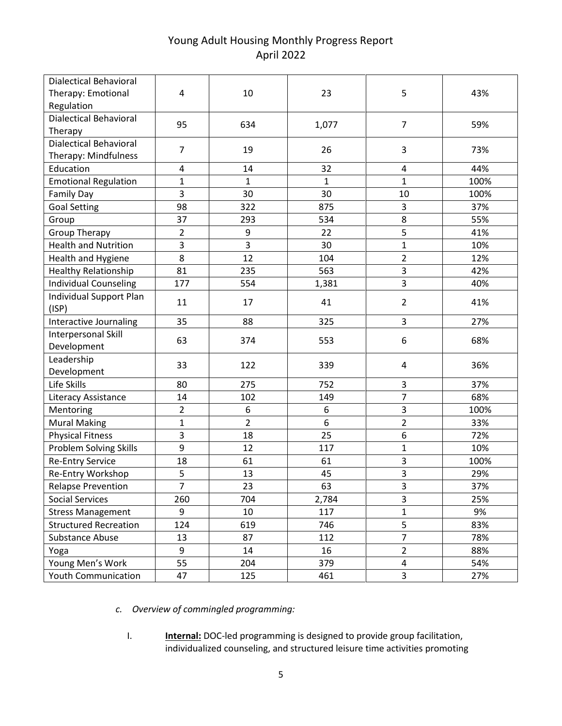| <b>Dialectical Behavioral</b> |                |                |              |                |      |
|-------------------------------|----------------|----------------|--------------|----------------|------|
| Therapy: Emotional            | 4              | 10             | 23           | 5              | 43%  |
| Regulation                    |                |                |              |                |      |
| <b>Dialectical Behavioral</b> | 95             | 634            | 1,077        | $\overline{7}$ | 59%  |
| Therapy                       |                |                |              |                |      |
| <b>Dialectical Behavioral</b> | $\overline{7}$ | 19             | 26           | 3              | 73%  |
| Therapy: Mindfulness          |                |                |              |                |      |
| Education                     | $\overline{4}$ | 14             | 32           | $\overline{4}$ | 44%  |
| <b>Emotional Regulation</b>   | $\mathbf{1}$   | $\mathbf{1}$   | $\mathbf{1}$ | 1              | 100% |
| <b>Family Day</b>             | $\overline{3}$ | 30             | 30           | 10             | 100% |
| <b>Goal Setting</b>           | 98             | 322            | 875          | 3              | 37%  |
| Group                         | 37             | 293            | 534          | 8              | 55%  |
| <b>Group Therapy</b>          | $\overline{2}$ | 9              | 22           | 5              | 41%  |
| <b>Health and Nutrition</b>   | $\overline{3}$ | 3              | 30           | $\mathbf{1}$   | 10%  |
| Health and Hygiene            | 8              | 12             | 104          | $\overline{2}$ | 12%  |
| <b>Healthy Relationship</b>   | 81             | 235            | 563          | 3              | 42%  |
| <b>Individual Counseling</b>  | 177            | 554            | 1,381        | 3              | 40%  |
| Individual Support Plan       | 11             | 17             | 41           | $\overline{2}$ | 41%  |
| (ISP)                         |                |                |              |                |      |
| Interactive Journaling        | 35             | 88             | 325          | $\overline{3}$ | 27%  |
| Interpersonal Skill           | 63             | 374            | 553          | 6              | 68%  |
| Development                   |                |                |              |                |      |
| Leadership                    | 33             | 122            | 339          | 4              | 36%  |
| Development                   |                |                |              |                |      |
| Life Skills                   | 80             | 275            | 752          | 3              | 37%  |
| Literacy Assistance           | 14             | 102            | 149          | $\overline{7}$ | 68%  |
| Mentoring                     | $\overline{2}$ | 6              | 6            | 3              | 100% |
| <b>Mural Making</b>           | $\mathbf{1}$   | $\overline{2}$ | 6            | $\overline{2}$ | 33%  |
| <b>Physical Fitness</b>       | 3              | 18             | 25           | 6              | 72%  |
| Problem Solving Skills        | 9              | 12             | 117          | 1              | 10%  |
| <b>Re-Entry Service</b>       | 18             | 61             | 61           | $\mathsf{3}$   | 100% |
| Re-Entry Workshop             | 5              | 13             | 45           | 3              | 29%  |
| <b>Relapse Prevention</b>     | $\overline{7}$ | 23             | 63           | 3              | 37%  |
| <b>Social Services</b>        | 260            | 704            | 2,784        | 3              | 25%  |
| <b>Stress Management</b>      | 9              | 10             | 117          | $\mathbf 1$    | 9%   |
| <b>Structured Recreation</b>  | 124            | 619            | 746          | 5              | 83%  |
| Substance Abuse               | 13             | 87             | 112          | $\overline{7}$ | 78%  |
| Yoga                          | 9              | 14             | 16           | $\overline{2}$ | 88%  |
| Young Men's Work              | 55             | 204            | 379          | 4              | 54%  |
| <b>Youth Communication</b>    | 47             | 125            | 461          | $\overline{3}$ | 27%  |

*c. Overview of commingled programming:*

I. **Internal:** DOC-led programming is designed to provide group facilitation, individualized counseling, and structured leisure time activities promoting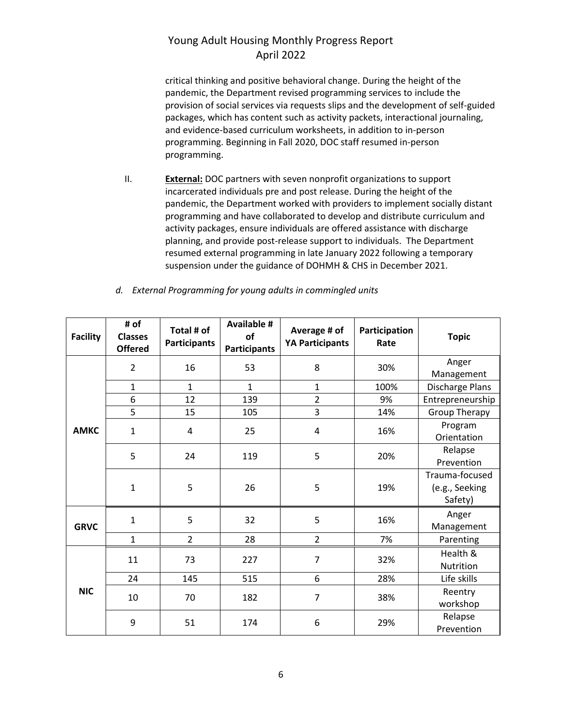critical thinking and positive behavioral change. During the height of the pandemic, the Department revised programming services to include the provision of social services via requests slips and the development of self-guided packages, which has content such as activity packets, interactional journaling, and evidence-based curriculum worksheets, in addition to in-person programming. Beginning in Fall 2020, DOC staff resumed in-person programming.

II. **External:** DOC partners with seven nonprofit organizations to support incarcerated individuals pre and post release. During the height of the pandemic, the Department worked with providers to implement socially distant programming and have collaborated to develop and distribute curriculum and activity packages, ensure individuals are offered assistance with discharge planning, and provide post-release support to individuals. The Department resumed external programming in late January 2022 following a temporary suspension under the guidance of DOHMH & CHS in December 2021.

| <b>Facility</b> | # of<br><b>Classes</b><br><b>Offered</b> | Total # of<br><b>Participants</b> | <b>Available #</b><br>of<br><b>Participants</b> | Average # of<br><b>YA Participants</b> | Participation<br>Rate  | <b>Topic</b>                                |
|-----------------|------------------------------------------|-----------------------------------|-------------------------------------------------|----------------------------------------|------------------------|---------------------------------------------|
|                 | $\overline{2}$                           | 16                                | 53                                              | 8                                      | 30%                    | Anger<br>Management                         |
|                 | $\mathbf{1}$                             | $\mathbf{1}$                      | $\mathbf{1}$                                    | $\mathbf{1}$                           | 100%                   | Discharge Plans                             |
|                 | 6                                        | 12                                | 139                                             | $\overline{2}$                         | 9%                     | Entrepreneurship                            |
|                 | 5                                        | 15                                | 105                                             | 3                                      | 14%                    | <b>Group Therapy</b>                        |
| <b>AMKC</b>     | $\mathbf{1}$                             | 4                                 | 25<br>16%<br>4                                  |                                        | Program<br>Orientation |                                             |
|                 | 5                                        | 24                                | 119                                             | 5                                      | 20%                    | Relapse<br>Prevention                       |
|                 | $\mathbf{1}$                             | 5                                 | 26                                              | 5                                      | 19%                    | Trauma-focused<br>(e.g., Seeking<br>Safety) |
| <b>GRVC</b>     | $\mathbf{1}$                             | 5                                 | 32                                              | 5                                      | 16%                    | Anger<br>Management                         |
|                 | $\mathbf{1}$                             | $\overline{2}$                    | 28                                              | $\overline{2}$                         | 7%                     | Parenting                                   |
|                 | 11                                       | 73                                | 227                                             | $\overline{7}$                         | 32%                    | Health &<br>Nutrition                       |
|                 | 24                                       | 145                               | 515                                             | 6                                      | 28%                    | Life skills                                 |
| <b>NIC</b>      | 10                                       | 70                                | 182                                             | $\overline{7}$                         | 38%                    | Reentry<br>workshop                         |
|                 | 9                                        | 51                                | 174                                             | 6                                      | 29%                    | Relapse<br>Prevention                       |

*d. External Programming for young adults in commingled units*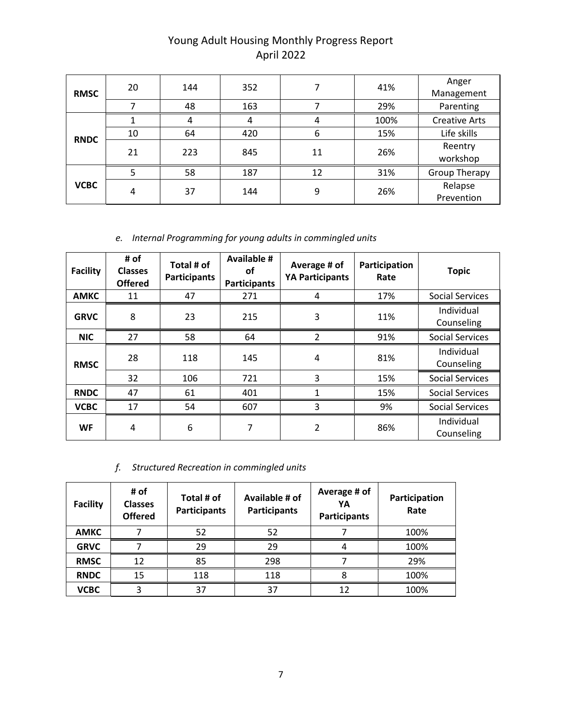| <b>RMSC</b> | 20 | 144 | 352 |    | 41%  | Anger<br>Management   |
|-------------|----|-----|-----|----|------|-----------------------|
|             |    | 48  | 163 |    | 29%  | Parenting             |
| <b>RNDC</b> |    |     | 4   |    | 100% | <b>Creative Arts</b>  |
|             | 10 | 64  | 420 | 6  | 15%  | Life skills           |
|             | 21 | 223 | 845 | 11 | 26%  | Reentry<br>workshop   |
|             | 5  | 58  | 187 | 12 | 31%  | <b>Group Therapy</b>  |
| <b>VCBC</b> | 4  | 37  | 144 | 9  | 26%  | Relapse<br>Prevention |

### *e. Internal Programming for young adults in commingled units*

| <b>Facility</b> | # of<br><b>Classes</b><br><b>Offered</b> | Total # of<br><b>Participants</b> | <b>Available #</b><br><b>of</b><br><b>Participants</b> | Average # of<br><b>YA Participants</b> | Participation<br>Rate | <b>Topic</b>             |
|-----------------|------------------------------------------|-----------------------------------|--------------------------------------------------------|----------------------------------------|-----------------------|--------------------------|
| <b>AMKC</b>     | 11                                       | 47                                | 271                                                    | 4                                      | 17%                   | <b>Social Services</b>   |
| <b>GRVC</b>     | 8                                        | 23                                | 215                                                    | 3                                      | 11%                   | Individual<br>Counseling |
| <b>NIC</b>      | 27                                       | 58                                | 64                                                     | 2                                      | 91%                   | <b>Social Services</b>   |
| <b>RMSC</b>     | 28                                       | 118                               | 145                                                    | 4                                      | 81%                   | Individual<br>Counseling |
|                 | 32                                       | 106                               | 721                                                    | 3                                      | 15%                   | <b>Social Services</b>   |
| <b>RNDC</b>     | 47                                       | 61                                | 401                                                    | 1                                      | 15%                   | <b>Social Services</b>   |
| <b>VCBC</b>     | 17                                       | 54                                | 607                                                    | 3                                      | 9%                    | <b>Social Services</b>   |
| <b>WF</b>       | 4                                        | 6                                 | 7                                                      | 2                                      | 86%                   | Individual<br>Counseling |

### *f. Structured Recreation in commingled units*

| <b>Facility</b> | # of<br><b>Classes</b><br><b>Offered</b> | Total # of<br><b>Participants</b> | Available # of<br><b>Participants</b> | Average # of<br>YΑ<br><b>Participants</b> | Participation<br>Rate |
|-----------------|------------------------------------------|-----------------------------------|---------------------------------------|-------------------------------------------|-----------------------|
| <b>AMKC</b>     |                                          | 52                                | 52                                    |                                           | 100%                  |
| <b>GRVC</b>     |                                          | 29                                | 29                                    |                                           | 100%                  |
| <b>RMSC</b>     | 12                                       | 85                                | 298                                   |                                           | 29%                   |
| <b>RNDC</b>     | 15                                       | 118                               | 118                                   | 8                                         | 100%                  |
| <b>VCBC</b>     |                                          | 37                                | 37                                    | 12                                        | 100%                  |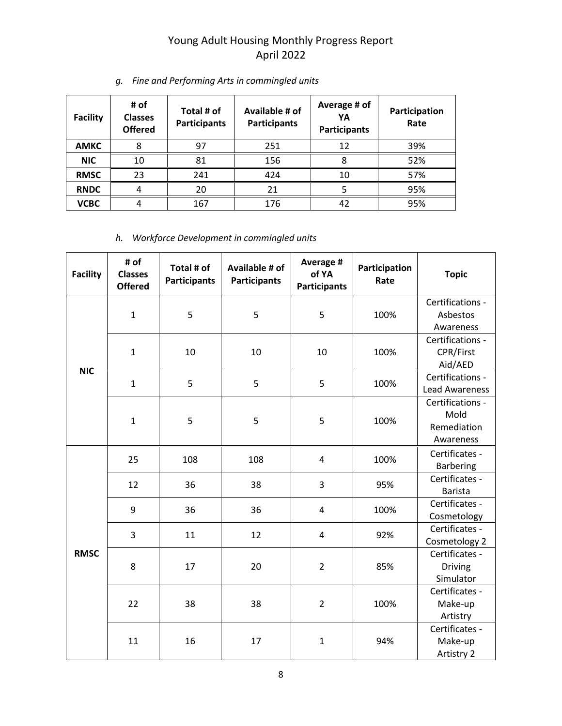| <b>Facility</b> | # of<br><b>Classes</b><br><b>Offered</b> | Total # of<br><b>Participants</b> | Available # of<br><b>Participants</b> | Average # of<br>YA<br><b>Participants</b> | Participation<br>Rate |
|-----------------|------------------------------------------|-----------------------------------|---------------------------------------|-------------------------------------------|-----------------------|
| <b>AMKC</b>     | 8                                        | 97                                | 251                                   | 12                                        | 39%                   |
| <b>NIC</b>      | 10                                       | 81                                | 156                                   | 8                                         | 52%                   |
| <b>RMSC</b>     | 23                                       | 241                               | 424                                   | 10                                        | 57%                   |
| <b>RNDC</b>     | 4                                        | 20                                | 21                                    |                                           | 95%                   |
| <b>VCBC</b>     | 4                                        | 167                               | 176                                   | 42                                        | 95%                   |

### *g. Fine and Performing Arts in commingled units*

*h. Workforce Development in commingled units*

| <b>Facility</b> | # of<br><b>Classes</b><br><b>Offered</b> | Total # of<br><b>Participants</b> | Available # of<br><b>Participants</b> | Average #<br>of YA<br><b>Participants</b> | Participation<br>Rate | <b>Topic</b>                                         |
|-----------------|------------------------------------------|-----------------------------------|---------------------------------------|-------------------------------------------|-----------------------|------------------------------------------------------|
|                 | $\mathbf{1}$                             | 5                                 | 5                                     | 5                                         | 100%                  | Certifications -<br>Asbestos<br>Awareness            |
| <b>NIC</b>      | $\mathbf{1}$                             | 10                                | 10                                    | 10                                        | 100%                  | Certifications -<br>CPR/First<br>Aid/AED             |
|                 | $\mathbf{1}$                             | 5                                 | 5                                     | 5                                         | 100%                  | Certifications -<br><b>Lead Awareness</b>            |
|                 | $\mathbf{1}$                             | 5                                 | 5                                     | 5                                         | 100%                  | Certifications -<br>Mold<br>Remediation<br>Awareness |
|                 | 25                                       | 108                               | 108                                   | $\overline{4}$                            | 100%                  | Certificates -<br><b>Barbering</b>                   |
|                 | 12                                       | 36                                | 38                                    | 3                                         | 95%                   | Certificates -<br><b>Barista</b>                     |
|                 | 9                                        | 36                                | 36                                    | 4                                         | 100%                  | Certificates -<br>Cosmetology                        |
|                 | 3                                        | 11                                | 12                                    | $\overline{4}$                            | 92%                   | Certificates -<br>Cosmetology 2                      |
| <b>RMSC</b>     | 8                                        | 17                                | 20                                    | $\overline{2}$                            | 85%                   | Certificates -<br><b>Driving</b><br>Simulator        |
|                 | 22                                       | 38                                | 38                                    | $\overline{2}$                            | 100%                  | Certificates -<br>Make-up<br>Artistry                |
|                 | 11                                       | 16                                | 17                                    | $\mathbf{1}$                              | 94%                   | Certificates -<br>Make-up<br>Artistry 2              |